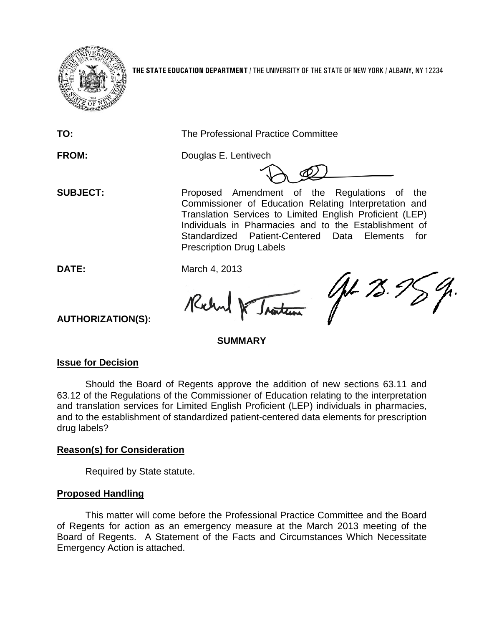

**THE STATE EDUCATION DEPARTMENT** / THE UNIVERSITY OF THE STATE OF NEW YORK / ALBANY, NY 12234

**TO:** The Professional Practice Committee

**FROM:** Douglas E. Lentivech

**SUBJECT:** Proposed Amendment of the Regulations of the Commissioner of Education Relating Interpretation and Translation Services to Limited English Proficient (LEP) Individuals in Pharmacies and to the Establishment of Standardized Patient-Centered Data Elements for Prescription Drug Labels

**DATE:** March 4, 2013

Rochy Iraiten

AL 75.98

**AUTHORIZATION(S):**

# **SUMMARY**

## **Issue for Decision**

Should the Board of Regents approve the addition of new sections 63.11 and 63.12 of the Regulations of the Commissioner of Education relating to the interpretation and translation services for Limited English Proficient (LEP) individuals in pharmacies, and to the establishment of standardized patient-centered data elements for prescription drug labels?

# **Reason(s) for Consideration**

Required by State statute.

# **Proposed Handling**

This matter will come before the Professional Practice Committee and the Board of Regents for action as an emergency measure at the March 2013 meeting of the Board of Regents. A Statement of the Facts and Circumstances Which Necessitate Emergency Action is attached.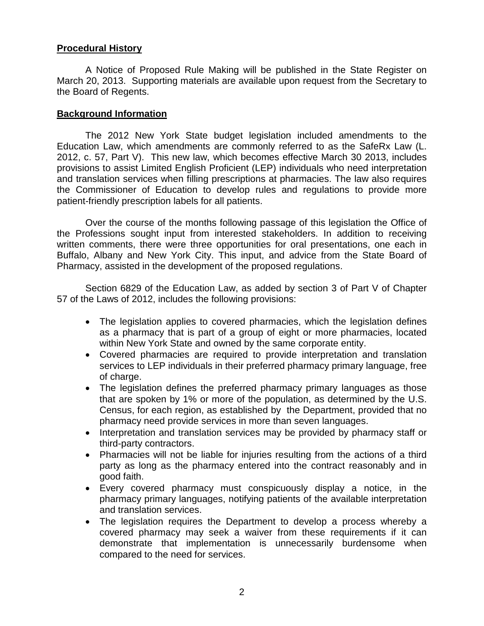## **Procedural History**

A Notice of Proposed Rule Making will be published in the State Register on March 20, 2013. Supporting materials are available upon request from the Secretary to the Board of Regents.

#### **Background Information**

The 2012 New York State budget legislation included amendments to the Education Law, which amendments are commonly referred to as the SafeRx Law (L. 2012, c. 57, Part V). This new law, which becomes effective March 30 2013, includes provisions to assist Limited English Proficient (LEP) individuals who need interpretation and translation services when filling prescriptions at pharmacies. The law also requires the Commissioner of Education to develop rules and regulations to provide more patient-friendly prescription labels for all patients.

Over the course of the months following passage of this legislation the Office of the Professions sought input from interested stakeholders. In addition to receiving written comments, there were three opportunities for oral presentations, one each in Buffalo, Albany and New York City. This input, and advice from the State Board of Pharmacy, assisted in the development of the proposed regulations.

Section 6829 of the Education Law, as added by section 3 of Part V of Chapter 57 of the Laws of 2012, includes the following provisions:

- The legislation applies to covered pharmacies, which the legislation defines as a pharmacy that is part of a group of eight or more pharmacies, located within New York State and owned by the same corporate entity.
- Covered pharmacies are required to provide interpretation and translation services to LEP individuals in their preferred pharmacy primary language, free of charge.
- The legislation defines the preferred pharmacy primary languages as those that are spoken by 1% or more of the population, as determined by the U.S. Census, for each region, as established by the Department, provided that no pharmacy need provide services in more than seven languages.
- Interpretation and translation services may be provided by pharmacy staff or third-party contractors.
- Pharmacies will not be liable for injuries resulting from the actions of a third party as long as the pharmacy entered into the contract reasonably and in good faith.
- Every covered pharmacy must conspicuously display a notice, in the pharmacy primary languages, notifying patients of the available interpretation and translation services.
- The legislation requires the Department to develop a process whereby a covered pharmacy may seek a waiver from these requirements if it can demonstrate that implementation is unnecessarily burdensome when compared to the need for services.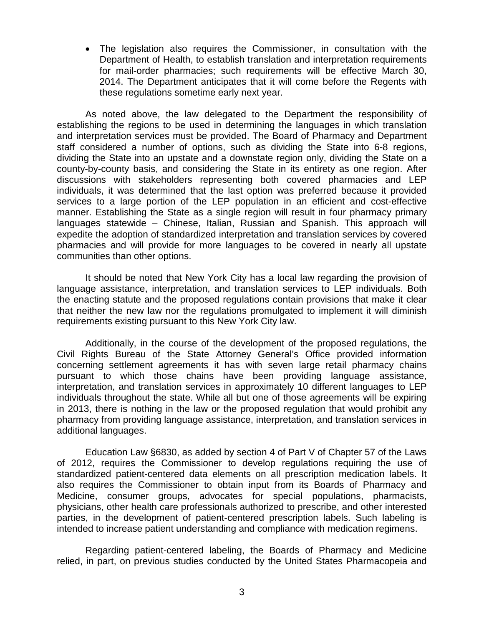• The legislation also requires the Commissioner, in consultation with the Department of Health, to establish translation and interpretation requirements for mail-order pharmacies; such requirements will be effective March 30, 2014. The Department anticipates that it will come before the Regents with these regulations sometime early next year.

As noted above, the law delegated to the Department the responsibility of establishing the regions to be used in determining the languages in which translation and interpretation services must be provided. The Board of Pharmacy and Department staff considered a number of options, such as dividing the State into 6-8 regions, dividing the State into an upstate and a downstate region only, dividing the State on a county-by-county basis, and considering the State in its entirety as one region. After discussions with stakeholders representing both covered pharmacies and LEP individuals, it was determined that the last option was preferred because it provided services to a large portion of the LEP population in an efficient and cost-effective manner. Establishing the State as a single region will result in four pharmacy primary languages statewide – Chinese, Italian, Russian and Spanish. This approach will expedite the adoption of standardized interpretation and translation services by covered pharmacies and will provide for more languages to be covered in nearly all upstate communities than other options.

It should be noted that New York City has a local law regarding the provision of language assistance, interpretation, and translation services to LEP individuals. Both the enacting statute and the proposed regulations contain provisions that make it clear that neither the new law nor the regulations promulgated to implement it will diminish requirements existing pursuant to this New York City law.

Additionally, in the course of the development of the proposed regulations, the Civil Rights Bureau of the State Attorney General's Office provided information concerning settlement agreements it has with seven large retail pharmacy chains pursuant to which those chains have been providing language assistance, interpretation, and translation services in approximately 10 different languages to LEP individuals throughout the state. While all but one of those agreements will be expiring in 2013, there is nothing in the law or the proposed regulation that would prohibit any pharmacy from providing language assistance, interpretation, and translation services in additional languages.

Education Law §6830, as added by section 4 of Part V of Chapter 57 of the Laws of 2012, requires the Commissioner to develop regulations requiring the use of standardized patient-centered data elements on all prescription medication labels. It also requires the Commissioner to obtain input from its Boards of Pharmacy and Medicine, consumer groups, advocates for special populations, pharmacists, physicians, other health care professionals authorized to prescribe, and other interested parties, in the development of patient-centered prescription labels. Such labeling is intended to increase patient understanding and compliance with medication regimens.

Regarding patient-centered labeling, the Boards of Pharmacy and Medicine relied, in part, on previous studies conducted by the United States Pharmacopeia and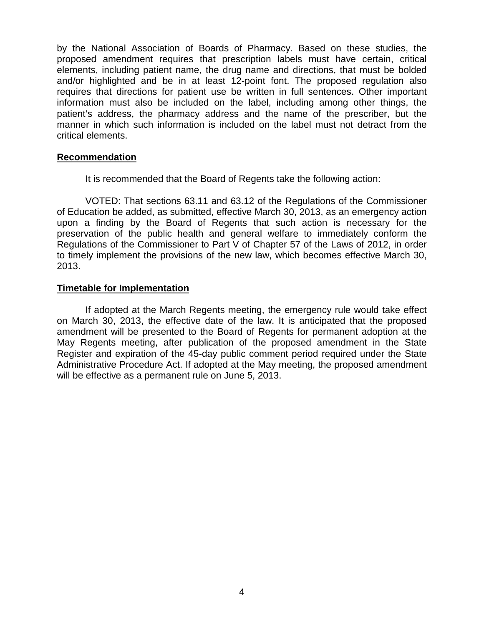by the National Association of Boards of Pharmacy. Based on these studies, the proposed amendment requires that prescription labels must have certain, critical elements, including patient name, the drug name and directions, that must be bolded and/or highlighted and be in at least 12-point font. The proposed regulation also requires that directions for patient use be written in full sentences. Other important information must also be included on the label, including among other things, the patient's address, the pharmacy address and the name of the prescriber, but the manner in which such information is included on the label must not detract from the critical elements.

#### **Recommendation**

It is recommended that the Board of Regents take the following action:

VOTED: That sections 63.11 and 63.12 of the Regulations of the Commissioner of Education be added, as submitted, effective March 30, 2013, as an emergency action upon a finding by the Board of Regents that such action is necessary for the preservation of the public health and general welfare to immediately conform the Regulations of the Commissioner to Part V of Chapter 57 of the Laws of 2012, in order to timely implement the provisions of the new law, which becomes effective March 30, 2013.

#### **Timetable for Implementation**

If adopted at the March Regents meeting, the emergency rule would take effect on March 30, 2013, the effective date of the law. It is anticipated that the proposed amendment will be presented to the Board of Regents for permanent adoption at the May Regents meeting, after publication of the proposed amendment in the State Register and expiration of the 45-day public comment period required under the State Administrative Procedure Act. If adopted at the May meeting, the proposed amendment will be effective as a permanent rule on June 5, 2013.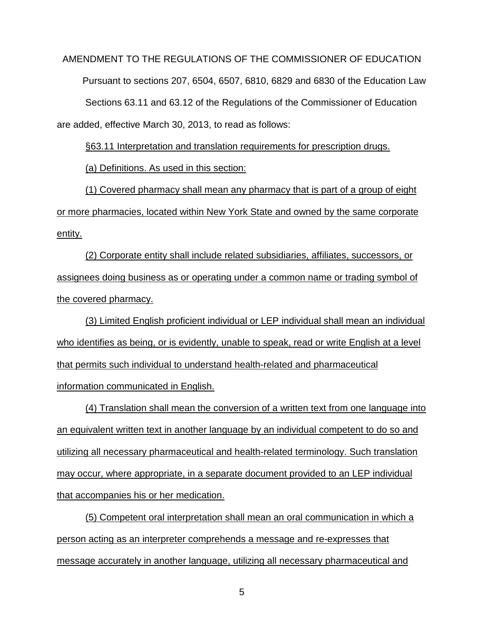AMENDMENT TO THE REGULATIONS OF THE COMMISSIONER OF EDUCATION Pursuant to sections 207, 6504, 6507, 6810, 6829 and 6830 of the Education Law Sections 63.11 and 63.12 of the Regulations of the Commissioner of Education are added, effective March 30, 2013, to read as follows:

§63.11 Interpretation and translation requirements for prescription drugs.

(a) Definitions. As used in this section:

(1) Covered pharmacy shall mean any pharmacy that is part of a group of eight or more pharmacies, located within New York State and owned by the same corporate entity.

(2) Corporate entity shall include related subsidiaries, affiliates, successors, or assignees doing business as or operating under a common name or trading symbol of the covered pharmacy.

(3) Limited English proficient individual or LEP individual shall mean an individual who identifies as being, or is evidently, unable to speak, read or write English at a level that permits such individual to understand health-related and pharmaceutical information communicated in English.

(4) Translation shall mean the conversion of a written text from one language into an equivalent written text in another language by an individual competent to do so and utilizing all necessary pharmaceutical and health-related terminology. Such translation may occur, where appropriate, in a separate document provided to an LEP individual that accompanies his or her medication.

(5) Competent oral interpretation shall mean an oral communication in which a person acting as an interpreter comprehends a message and re-expresses that message accurately in another language, utilizing all necessary pharmaceutical and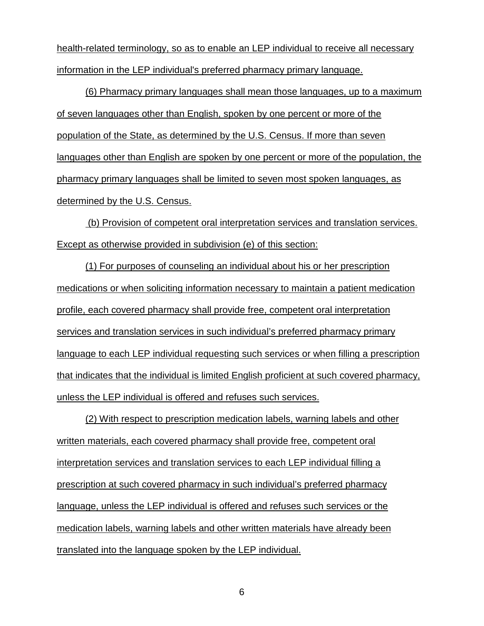health-related terminology, so as to enable an LEP individual to receive all necessary information in the LEP individual's preferred pharmacy primary language.

(6) Pharmacy primary languages shall mean those languages, up to a maximum of seven languages other than English, spoken by one percent or more of the population of the State, as determined by the U.S. Census. If more than seven languages other than English are spoken by one percent or more of the population, the pharmacy primary languages shall be limited to seven most spoken languages, as determined by the U.S. Census.

(b) Provision of competent oral interpretation services and translation services. Except as otherwise provided in subdivision (e) of this section:

(1) For purposes of counseling an individual about his or her prescription medications or when soliciting information necessary to maintain a patient medication profile, each covered pharmacy shall provide free, competent oral interpretation services and translation services in such individual's preferred pharmacy primary language to each LEP individual requesting such services or when filling a prescription that indicates that the individual is limited English proficient at such covered pharmacy, unless the LEP individual is offered and refuses such services.

(2) With respect to prescription medication labels, warning labels and other written materials, each covered pharmacy shall provide free, competent oral interpretation services and translation services to each LEP individual filling a prescription at such covered pharmacy in such individual's preferred pharmacy language, unless the LEP individual is offered and refuses such services or the medication labels, warning labels and other written materials have already been translated into the language spoken by the LEP individual.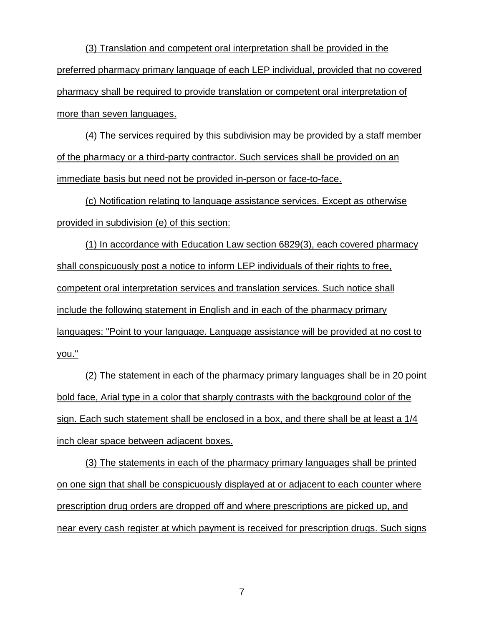(3) Translation and competent oral interpretation shall be provided in the preferred pharmacy primary language of each LEP individual, provided that no covered pharmacy shall be required to provide translation or competent oral interpretation of more than seven languages.

(4) The services required by this subdivision may be provided by a staff member of the pharmacy or a third-party contractor. Such services shall be provided on an immediate basis but need not be provided in-person or face-to-face.

(c) Notification relating to language assistance services. Except as otherwise provided in subdivision (e) of this section:

(1) In accordance with Education Law section 6829(3), each covered pharmacy shall conspicuously post a notice to inform LEP individuals of their rights to free, competent oral interpretation services and translation services. Such notice shall include the following statement in English and in each of the pharmacy primary languages: "Point to your language. Language assistance will be provided at no cost to you."

(2) The statement in each of the pharmacy primary languages shall be in 20 point bold face, Arial type in a color that sharply contrasts with the background color of the sign. Each such statement shall be enclosed in a box, and there shall be at least a 1/4 inch clear space between adjacent boxes.

(3) The statements in each of the pharmacy primary languages shall be printed on one sign that shall be conspicuously displayed at or adjacent to each counter where prescription drug orders are dropped off and where prescriptions are picked up, and near every cash register at which payment is received for prescription drugs. Such signs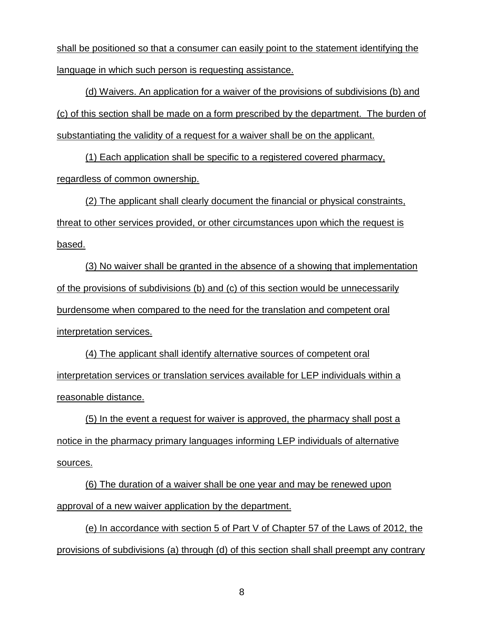shall be positioned so that a consumer can easily point to the statement identifying the language in which such person is requesting assistance.

(d) Waivers. An application for a waiver of the provisions of subdivisions (b) and (c) of this section shall be made on a form prescribed by the department. The burden of substantiating the validity of a request for a waiver shall be on the applicant.

(1) Each application shall be specific to a registered covered pharmacy, regardless of common ownership.

(2) The applicant shall clearly document the financial or physical constraints, threat to other services provided, or other circumstances upon which the request is based.

(3) No waiver shall be granted in the absence of a showing that implementation of the provisions of subdivisions (b) and (c) of this section would be unnecessarily burdensome when compared to the need for the translation and competent oral interpretation services.

(4) The applicant shall identify alternative sources of competent oral interpretation services or translation services available for LEP individuals within a reasonable distance.

(5) In the event a request for waiver is approved, the pharmacy shall post a notice in the pharmacy primary languages informing LEP individuals of alternative sources.

(6) The duration of a waiver shall be one year and may be renewed upon approval of a new waiver application by the department.

(e) In accordance with section 5 of Part V of Chapter 57 of the Laws of 2012, the provisions of subdivisions (a) through (d) of this section shall shall preempt any contrary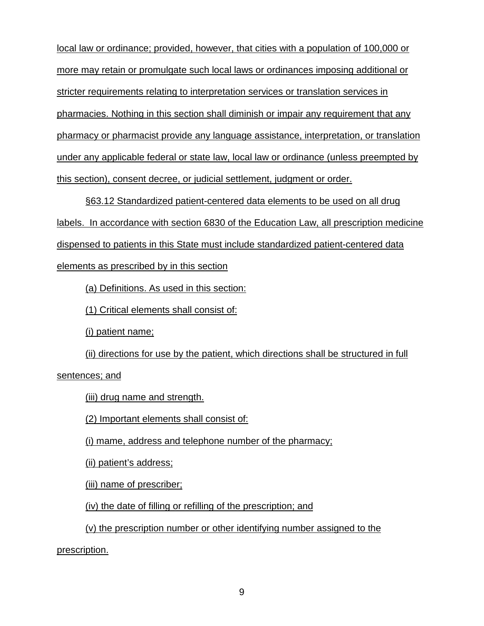local law or ordinance; provided, however, that cities with a population of 100,000 or more may retain or promulgate such local laws or ordinances imposing additional or stricter requirements relating to interpretation services or translation services in pharmacies. Nothing in this section shall diminish or impair any requirement that any pharmacy or pharmacist provide any language assistance, interpretation, or translation under any applicable federal or state law, local law or ordinance (unless preempted by this section), consent decree, or judicial settlement, judgment or order.

§63.12 Standardized patient-centered data elements to be used on all drug labels. In accordance with section 6830 of the Education Law, all prescription medicine dispensed to patients in this State must include standardized patient-centered data elements as prescribed by in this section

(a) Definitions. As used in this section:

(1) Critical elements shall consist of:

(i) patient name;

(ii) directions for use by the patient, which directions shall be structured in full sentences; and

(iii) drug name and strength.

(2) Important elements shall consist of:

(i) mame, address and telephone number of the pharmacy;

(ii) patient's address;

(iii) name of prescriber;

(iv) the date of filling or refilling of the prescription; and

(v) the prescription number or other identifying number assigned to the

prescription.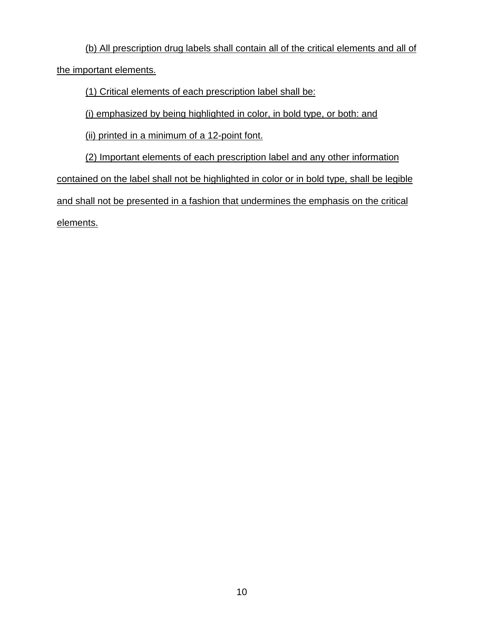(b) All prescription drug labels shall contain all of the critical elements and all of the important elements.

(1) Critical elements of each prescription label shall be:

(i) emphasized by being highlighted in color, in bold type, or both: and

(ii) printed in a minimum of a 12-point font.

(2) Important elements of each prescription label and any other information contained on the label shall not be highlighted in color or in bold type, shall be legible and shall not be presented in a fashion that undermines the emphasis on the critical elements.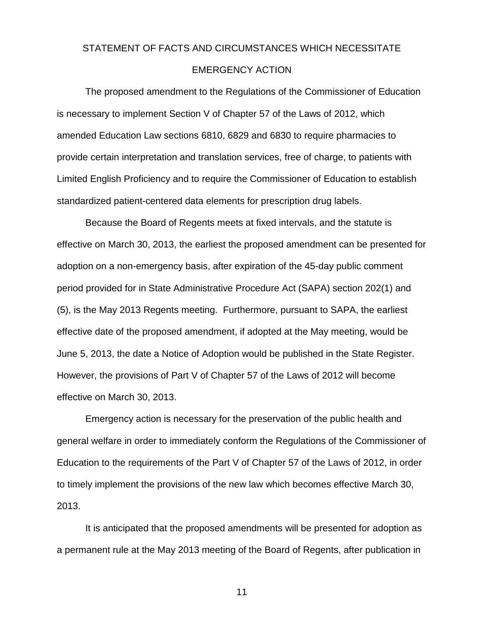# STATEMENT OF FACTS AND CIRCUMSTANCES WHICH NECESSITATE EMERGENCY ACTION

The proposed amendment to the Regulations of the Commissioner of Education is necessary to implement Section V of Chapter 57 of the Laws of 2012, which amended Education Law sections 6810, 6829 and 6830 to require pharmacies to provide certain interpretation and translation services, free of charge, to patients with Limited English Proficiency and to require the Commissioner of Education to establish standardized patient-centered data elements for prescription drug labels.

Because the Board of Regents meets at fixed intervals, and the statute is effective on March 30, 2013, the earliest the proposed amendment can be presented for adoption on a non-emergency basis, after expiration of the 45-day public comment period provided for in State Administrative Procedure Act (SAPA) section 202(1) and (5), is the May 2013 Regents meeting. Furthermore, pursuant to SAPA, the earliest effective date of the proposed amendment, if adopted at the May meeting, would be June 5, 2013, the date a Notice of Adoption would be published in the State Register. However, the provisions of Part V of Chapter 57 of the Laws of 2012 will become effective on March 30, 2013.

Emergency action is necessary for the preservation of the public health and general welfare in order to immediately conform the Regulations of the Commissioner of Education to the requirements of the Part V of Chapter 57 of the Laws of 2012, in order to timely implement the provisions of the new law which becomes effective March 30, 2013.

It is anticipated that the proposed amendments will be presented for adoption as a permanent rule at the May 2013 meeting of the Board of Regents, after publication in